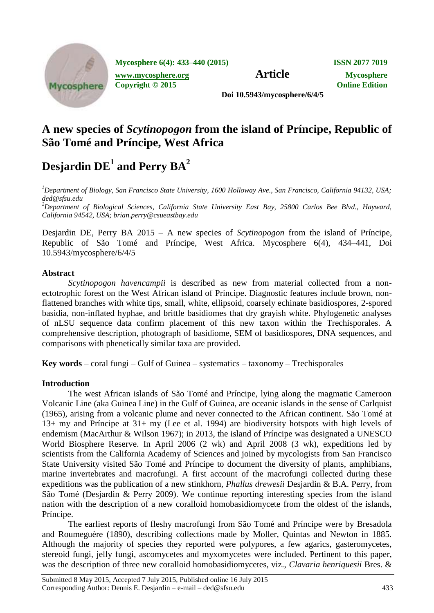

**Mycosphere 6(4): 433–440 (2015) ISSN 2077 7019**

**Article Mycosphere.org Article Mycosphere** 

**Copyright © 2015 Online Edition**

**Doi 10.5943/mycosphere/6/4/5**

# **A new species of** *Scytinopogon* **from the island of Príncipe, Republic of São Tomé and Príncipe, West Africa**

# $\bf$  Desjardin  $\bf{DE}^1$  and Perry  $\bf{BA}^2$

*<sup>1</sup>Department of Biology, San Francisco State University, 1600 Holloway Ave., San Francisco, California 94132, USA; ded@sfsu.edu*

*<sup>2</sup>Department of Biological Sciences, California State University East Bay, 25800 Carlos Bee Blvd., Hayward, California 94542, USA; brian.perry@csueastbay.edu*

Desjardin DE, Perry BA 2015 – A new species of *Scytinopogon* from the island of Príncipe, Republic of São Tomé and Príncipe, West Africa. Mycosphere 6(4), 434–441, Doi 10.5943/mycosphere/6/4/5

# **Abstract**

*Scytinopogon havencampii* is described as new from material collected from a nonectotrophic forest on the West African island of Príncipe. Diagnostic features include brown, nonflattened branches with white tips, small, white, ellipsoid, coarsely echinate basidiospores, 2-spored basidia, non-inflated hyphae, and brittle basidiomes that dry grayish white. Phylogenetic analyses of nLSU sequence data confirm placement of this new taxon within the Trechisporales. A comprehensive description, photograph of basidiome, SEM of basidiospores, DNA sequences, and comparisons with phenetically similar taxa are provided.

**Key words** – coral fungi – Gulf of Guinea – systematics – taxonomy – Trechisporales

# **Introduction**

The west African islands of São Tomé and Príncipe, lying along the magmatic Cameroon Volcanic Line (aka Guinea Line) in the Gulf of Guinea, are oceanic islands in the sense of Carlquist (1965), arising from a volcanic plume and never connected to the African continent. São Tomé at 13+ my and Príncipe at 31+ my (Lee et al. 1994) are biodiversity hotspots with high levels of endemism (MacArthur & Wilson 1967); in 2013, the island of Príncipe was designated a UNESCO World Biosphere Reserve. In April 2006 (2 wk) and April 2008 (3 wk), expeditions led by scientists from the California Academy of Sciences and joined by mycologists from San Francisco State University visited São Tomé and Príncipe to document the diversity of plants, amphibians, marine invertebrates and macrofungi. A first account of the macrofungi collected during these expeditions was the publication of a new stinkhorn, *Phallus drewesii* Desjardin & B.A. Perry, from São Tomé (Desjardin & Perry 2009). We continue reporting interesting species from the island nation with the description of a new coralloid homobasidiomycete from the oldest of the islands, Príncipe.

The earliest reports of fleshy macrofungi from São Tomé and Príncipe were by Bresadola and Roumeguère (1890), describing collections made by Moller, Quintas and Newton in 1885. Although the majority of species they reported were polypores, a few agarics, gasteromycetes, stereoid fungi, jelly fungi, ascomycetes and myxomycetes were included. Pertinent to this paper, was the description of three new coralloid homobasidiomycetes, viz., *Clavaria henriquesii* Bres. &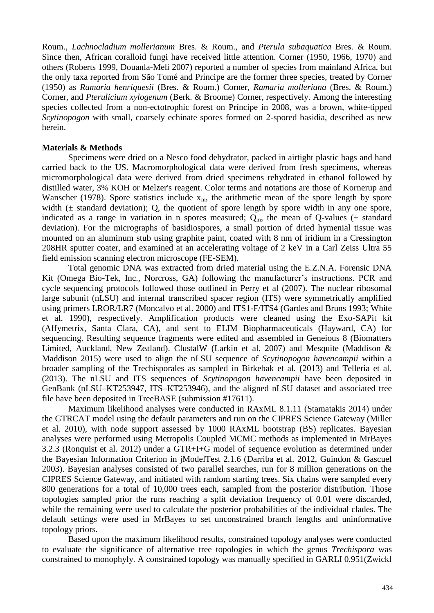Roum., *Lachnocladium mollerianum* Bres. & Roum., and *Pterula subaquatica* Bres. & Roum. Since then, African coralloid fungi have received little attention. Corner (1950, 1966, 1970) and others (Roberts 1999, Douanla-Meli 2007) reported a number of species from mainland Africa, but the only taxa reported from São Tomé and Príncipe are the former three species, treated by Corner (1950) as *Ramaria henriquesii* (Bres. & Roum.) Corner, *Ramaria molleriana* (Bres. & Roum.) Corner, and *Pterulicium xylogenum* (Berk. & Broome) Corner, respectively. Among the interesting species collected from a non-ectotrophic forest on Príncipe in 2008, was a brown, white-tipped *Scytinopogon* with small, coarsely echinate spores formed on 2-spored basidia, described as new herein.

#### **Materials & Methods**

Specimens were dried on a Nesco food dehydrator, packed in airtight plastic bags and hand carried back to the US. Macromorphological data were derived from fresh specimens, whereas micromorphological data were derived from dried specimens rehydrated in ethanol followed by distilled water, 3% KOH or Melzer's reagent. Color terms and notations are those of Kornerup and Wanscher (1978). Spore statistics include  $x<sub>m</sub>$ , the arithmetic mean of the spore length by spore width  $($ ± standard deviation); Q, the quotient of spore length by spore width in any one spore, indicated as a range in variation in n spores measured;  $Q_m$ , the mean of Q-values ( $\pm$  standard deviation). For the micrographs of basidiospores, a small portion of dried hymenial tissue was mounted on an aluminum stub using graphite paint, coated with 8 nm of iridium in a Cressington 208HR sputter coater, and examined at an accelerating voltage of 2 keV in a Carl Zeiss Ultra 55 field emission scanning electron microscope (FE-SEM).

Total genomic DNA was extracted from dried material using the E.Z.N.A. Forensic DNA Kit (Omega Bio-Tek, Inc., Norcross, GA) following the manufacturer's instructions. PCR and cycle sequencing protocols followed those outlined in Perry et al (2007). The nuclear ribosomal large subunit (nLSU) and internal transcribed spacer region (ITS) were symmetrically amplified using primers LROR/LR7 (Moncalvo et al. 2000) and ITS1-F/ITS4 (Gardes and Bruns 1993; White et al. 1990), respectively. Amplification products were cleaned using the Exo-SAPit kit (Affymetrix, Santa Clara, CA), and sent to ELIM Biopharmaceuticals (Hayward, CA) for sequencing. Resulting sequence fragments were edited and assembled in Geneious 8 (Biomatters Limited, Auckland, New Zealand). ClustalW (Larkin et al. 2007) and Mesquite (Maddison & Maddison 2015) were used to align the nLSU sequence of *Scytinopogon havencampii* within a broader sampling of the Trechisporales as sampled in Birkebak et al. (2013) and Telleria et al. (2013). The nLSU and ITS sequences of *Scytinopogon havencampii* have been deposited in GenBank (nLSU–KT253947, ITS–KT253946), and the aligned nLSU dataset and associated tree file have been deposited in TreeBASE (submission #17611).

Maximum likelihood analyses were conducted in RAxML 8.1.11 (Stamatakis 2014) under the GTRCAT model using the default parameters and run on the CIPRES Science Gateway (Miller et al. 2010), with node support assessed by 1000 RAxML bootstrap (BS) replicates. Bayesian analyses were performed using Metropolis Coupled MCMC methods as implemented in MrBayes 3.2.3 (Ronquist et al. 2012) under a GTR+I+G model of sequence evolution as determined under the Bayesian Information Criterion in jModelTest 2.1.6 (Darriba et al. 2012, Guindon & Gascuel 2003). Bayesian analyses consisted of two parallel searches, run for 8 million generations on the CIPRES Science Gateway, and initiated with random starting trees. Six chains were sampled every 800 generations for a total of 10,000 trees each, sampled from the posterior distribution. Those topologies sampled prior the runs reaching a split deviation frequency of 0.01 were discarded, while the remaining were used to calculate the posterior probabilities of the individual clades. The default settings were used in MrBayes to set unconstrained branch lengths and uninformative topology priors.

Based upon the maximum likelihood results, constrained topology analyses were conducted to evaluate the significance of alternative tree topologies in which the genus *Trechispora* was constrained to monophyly. A constrained topology was manually specified in GARLI 0.951(Zwickl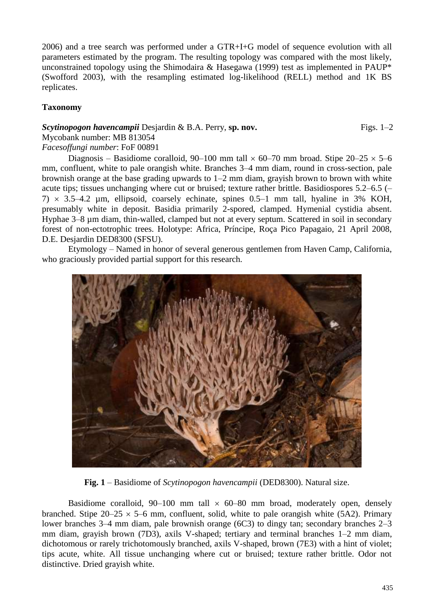2006) and a tree search was performed under a GTR+I+G model of sequence evolution with all parameters estimated by the program. The resulting topology was compared with the most likely, unconstrained topology using the Shimodaira & Hasegawa (1999) test as implemented in PAUP\* (Swofford 2003), with the resampling estimated log-likelihood (RELL) method and 1K BS replicates.

# **Taxonomy**

# *Scytinopogon havencampii* Desjardin & B.A. Perry, sp. nov. Figs. 1–2 Mycobank number: MB 813054 *Facesoffungi number*: FoF 00891

Diagnosis – Basidiome coralloid, 90–100 mm tall  $\times$  60–70 mm broad. Stipe 20–25  $\times$  5–6 mm, confluent, white to pale orangish white. Branches 3–4 mm diam, round in cross-section, pale brownish orange at the base grading upwards to 1–2 mm diam, grayish brown to brown with white acute tips; tissues unchanging where cut or bruised; texture rather brittle. Basidiospores 5.2–6.5 (–  $7) \times 3.5-4.2$  µm, ellipsoid, coarsely echinate, spines 0.5–1 mm tall, hyaline in 3% KOH, presumably white in deposit. Basidia primarily 2-spored, clamped. Hymenial cystidia absent. Hyphae 3–8  $\mu$ m diam, thin-walled, clamped but not at every septum. Scattered in soil in secondary forest of non-ectotrophic trees. Holotype: Africa, Príncipe, Roça Pico Papagaio, 21 April 2008, D.E. Desjardin DED8300 (SFSU).

Etymology – Named in honor of several generous gentlemen from Haven Camp, California, who graciously provided partial support for this research.



**Fig. 1** – Basidiome of *Scytinopogon havencampii* (DED8300). Natural size.

Basidiome coralloid,  $90-100$  mm tall  $\times$  60–80 mm broad, moderately open, densely branched. Stipe  $20-25 \times 5-6$  mm, confluent, solid, white to pale orangish white (5A2). Primary lower branches 3–4 mm diam, pale brownish orange (6C3) to dingy tan; secondary branches 2–3 mm diam, grayish brown (7D3), axils V-shaped; tertiary and terminal branches 1–2 mm diam, dichotomous or rarely trichotomously branched, axils V-shaped, brown (7E3) with a hint of violet; tips acute, white. All tissue unchanging where cut or bruised; texture rather brittle. Odor not distinctive. Dried grayish white.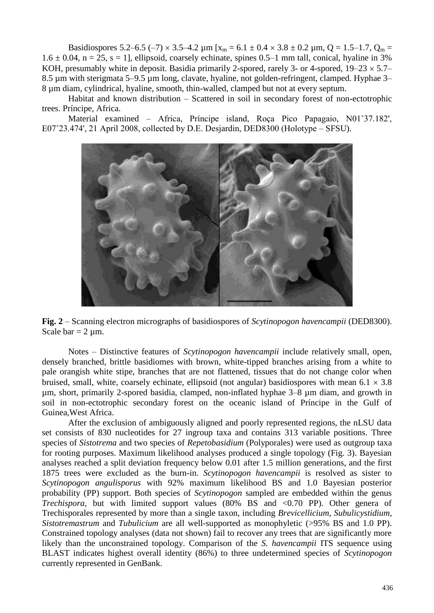Basidiospores 5.2–6.5 (–7)  $\times$  3.5–4.2 µm [x<sub>m</sub> = 6.1  $\pm$  0.4  $\times$  3.8  $\pm$  0.2 µm, Q = 1.5–1.7, Q<sub>m</sub> =  $1.6 \pm 0.04$ , n = 25, s = 1], ellipsoid, coarsely echinate, spines 0.5–1 mm tall, conical, hyaline in 3% KOH, presumably white in deposit. Basidia primarily 2-spored, rarely 3- or 4-spored,  $19-23 \times 5.7-$ 8.5 µm with sterigmata 5–9.5 µm long, clavate, hyaline, not golden-refringent, clamped. Hyphae 3– 8 µm diam, cylindrical, hyaline, smooth, thin-walled, clamped but not at every septum.

Habitat and known distribution – Scattered in soil in secondary forest of non-ectotrophic trees. Príncipe, Africa.

Material examined – Africa, Príncipe island, Roça Pico Papagaio, N01˚37.182', E07˚23.474', 21 April 2008, collected by D.E. Desjardin, DED8300 (Holotype – SFSU).



**Fig. 2** – Scanning electron micrographs of basidiospores of *Scytinopogon havencampii* (DED8300). Scale bar  $= 2 \mu m$ .

Notes – Distinctive features of *Scytinopogon havencampii* include relatively small, open, densely branched, brittle basidiomes with brown, white-tipped branches arising from a white to pale orangish white stipe, branches that are not flattened, tissues that do not change color when bruised, small, white, coarsely echinate, ellipsoid (not angular) basidiospores with mean  $6.1 \times 3.8$ µm, short, primarily 2-spored basidia, clamped, non-inflated hyphae 3–8 µm diam, and growth in soil in non-ectotrophic secondary forest on the oceanic island of Príncipe in the Gulf of Guinea,West Africa.

After the exclusion of ambiguously aligned and poorly represented regions, the nLSU data set consists of 830 nucleotides for 27 ingroup taxa and contains 313 variable positions. Three species of *Sistotrema* and two species of *Repetobasidium* (Polyporales) were used as outgroup taxa for rooting purposes. Maximum likelihood analyses produced a single topology (Fig. 3). Bayesian analyses reached a split deviation frequency below 0.01 after 1.5 million generations, and the first 1875 trees were excluded as the burn-in. *Scytinopogon havencampii* is resolved as sister to *Scytinopogon angulisporus* with 92% maximum likelihood BS and 1.0 Bayesian posterior probability (PP) support. Both species of *Scytinopogon* sampled are embedded within the genus *Trechispora*, but with limited support values (80% BS and <0.70 PP). Other genera of Trechisporales represented by more than a single taxon, including *Brevicellicium*, *Subulicystidium, Sistotremastrum* and *Tubulicium* are all well-supported as monophyletic (>95% BS and 1.0 PP). Constrained topology analyses (data not shown) fail to recover any trees that are significantly more likely than the unconstrained topology. Comparison of the *S. havencampii* ITS sequence using BLAST indicates highest overall identity (86%) to three undetermined species of *Scytinopogon* currently represented in GenBank.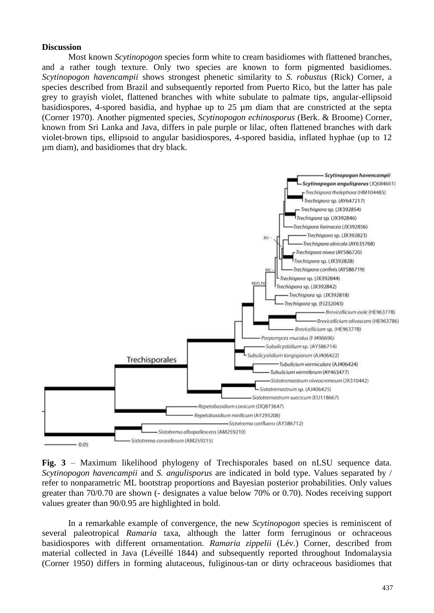#### **Discussion**

Most known *Scytinopogon* species form white to cream basidiomes with flattened branches, and a rather tough texture. Only two species are known to form pigmented basidiomes. *Scytinopogon havencampii* shows strongest phenetic similarity to *S. robustus* (Rick) Corner, a species described from Brazil and subsequently reported from Puerto Rico, but the latter has pale grey to grayish violet, flattened branches with white subulate to palmate tips, angular-ellipsoid basidiospores, 4-spored basidia, and hyphae up to 25 µm diam that are constricted at the septa (Corner 1970). Another pigmented species, *Scytinopogon echinosporus* (Berk. & Broome) Corner, known from Sri Lanka and Java, differs in pale purple or lilac, often flattened branches with dark violet-brown tips, ellipsoid to angular basidiospores, 4-spored basidia, inflated hyphae (up to 12 µm diam), and basidiomes that dry black.



**Fig. 3** – Maximum likelihood phylogeny of Trechisporales based on nLSU sequence data. *Scytinopogon havencampii* and *S. angulisporus* are indicated in bold type. Values separated by / refer to nonparametric ML bootstrap proportions and Bayesian posterior probabilities. Only values greater than 70/0.70 are shown (- designates a value below 70% or 0.70). Nodes receiving support values greater than 90/0.95 are highlighted in bold.

In a remarkable example of convergence, the new *Scytinopogon* species is reminiscent of several paleotropical *Ramaria* taxa, although the latter form ferruginous or ochraceous basidiospores with different ornamentation. *Ramaria zippelii* (Lév.) Corner, described from material collected in Java (Léveillé 1844) and subsequently reported throughout Indomalaysia (Corner 1950) differs in forming alutaceous, fuliginous-tan or dirty ochraceous basidiomes that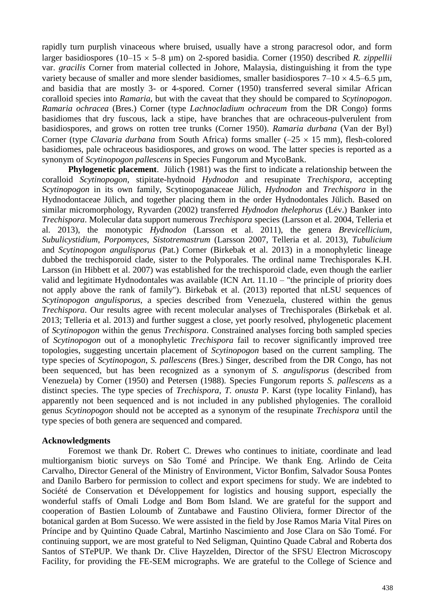rapidly turn purplish vinaceous where bruised, usually have a strong paracresol odor, and form larger basidiospores (10–15  $\times$  5–8 µm) on 2-spored basidia. Corner (1950) described *R. zippellii* var. *gracilis* Corner from material collected in Johore, Malaysia, distinguishing it from the type variety because of smaller and more slender basidiomes, smaller basidiospores  $7-10 \times 4.5-6.5$  µm, and basidia that are mostly 3- or 4-spored. Corner (1950) transferred several similar African coralloid species into *Ramaria,* but with the caveat that they should be compared to *Scytinopogon*. *Ramaria ochracea* (Bres.) Corner (type *Lachnocladium ochraceum* from the DR Congo) forms basidiomes that dry fuscous, lack a stipe, have branches that are ochraceous-pulverulent from basidiospores, and grows on rotten tree trunks (Corner 1950). *Ramaria durbana* (Van der Byl) Corner (type *Clavaria durbana* from South Africa) forms smaller  $(-25 \times 15 \text{ mm})$ , flesh-colored basidiomes, pale ochraceous basidiospores, and grows on wood. The latter species is reported as a synonym of *Scytinopogon pallescens* in Species Fungorum and MycoBank.

**Phylogenetic placement**. Jülich (1981) was the first to indicate a relationship between the coralloid *Scytinopogon*, stipitate-hydnoid *Hydnodon* and resupinate *Trechispora*, accepting *Scytinopogon* in its own family, Scytinopoganaceae Jülich, *Hydnodon* and *Trechispora* in the Hydnodontaceae Jülich, and together placing them in the order Hydnodontales Jülich. Based on similar micromorphology, Ryvarden (2002) transferred *Hydnodon thelephorus* (Lév.) Banker into *Trechispora*. Molecular data support numerous *Trechispora* species (Larsson et al. 2004, Telleria et al. 2013), the monotypic *Hydnodon* (Larsson et al. 2011), the genera *Brevicellicium*, *Subulicystidium*, *Porpomyces*, *Sistotremastrum* (Larsson 2007, Telleria et al. 2013), *Tubulicium* and *Scytinopogon angulisporus* (Pat.) Corner (Birkebak et al. 2013) in a monophyletic lineage dubbed the trechisporoid clade, sister to the Polyporales. The ordinal name Trechisporales K.H. Larsson (in Hibbett et al. 2007) was established for the trechisporoid clade, even though the earlier valid and legitimate Hydnodontales was available (ICN Art. 11.10 – "the principle of priority does not apply above the rank of family"). Birkebak et al. (2013) reported that nLSU sequences of *Scytinopogon angulisporus*, a species described from Venezuela, clustered within the genus *Trechispora*. Our results agree with recent molecular analyses of Trechisporales (Birkebak et al. 2013; Telleria et al. 2013) and further suggest a close, yet poorly resolved, phylogenetic placement of *Scytinopogon* within the genus *Trechispora*. Constrained analyses forcing both sampled species of *Scytinopogon* out of a monophyletic *Trechispora* fail to recover significantly improved tree topologies, suggesting uncertain placement of *Scytinopogon* based on the current sampling. The type species of *Scytinopogon*, *S. pallescens* (Bres.) Singer, described from the DR Congo, has not been sequenced, but has been recognized as a synonym of *S. angulisporus* (described from Venezuela) by Corner (1950) and Petersen (1988). Species Fungorum reports *S. pallescens* as a distinct species. The type species of *Trechispora*, *T. onusta* P. Karst (type locality Finland), has apparently not been sequenced and is not included in any published phylogenies. The coralloid genus *Scytinopogon* should not be accepted as a synonym of the resupinate *Trechispora* until the type species of both genera are sequenced and compared.

#### **Acknowledgments**

Foremost we thank Dr. Robert C. Drewes who continues to initiate, coordinate and lead multiorganism biotic surveys on São Tomé and Príncipe. We thank Eng. Arlindo de Ceita Carvalho, Director General of the Ministry of Environment, Victor Bonfim, Salvador Sousa Pontes and Danilo Barbero for permission to collect and export specimens for study. We are indebted to Société de Conservation et Développement for logistics and housing support, especially the wonderful staffs of Omali Lodge and Bom Bom Island. We are grateful for the support and cooperation of Bastien Loloumb of Zuntabawe and Faustino Oliviera, former Director of the botanical garden at Bom Sucesso. We were assisted in the field by Jose Ramos Maria Vital Pires on Príncipe and by Quintino Quade Cabral, Martinho Nascimiento and Jose Clara on São Tomé. For continuing support, we are most grateful to Ned Seligman, Quintino Quade Cabral and Roberta dos Santos of STePUP. We thank Dr. Clive Hayzelden, Director of the SFSU Electron Microscopy Facility, for providing the FE-SEM micrographs. We are grateful to the College of Science and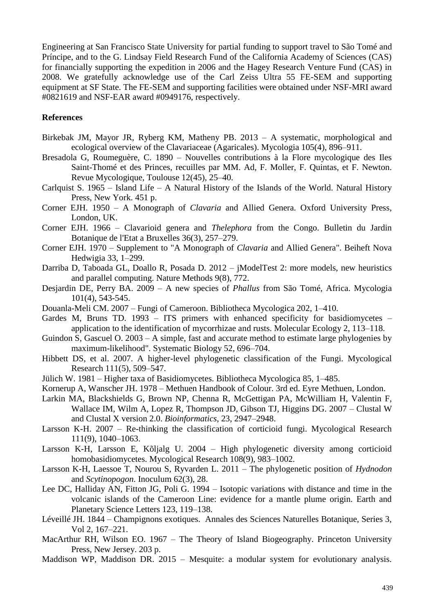Engineering at San Francisco State University for partial funding to support travel to São Tomé and Príncipe, and to the G. Lindsay Field Research Fund of the California Academy of Sciences (CAS) for financially supporting the expedition in 2006 and the Hagey Research Venture Fund (CAS) in 2008. We gratefully acknowledge use of the Carl Zeiss Ultra 55 FE-SEM and supporting equipment at SF State. The FE-SEM and supporting facilities were obtained under NSF-MRI award #0821619 and NSF-EAR award #0949176, respectively.

#### **References**

- Birkebak JM, Mayor JR, Ryberg KM, Matheny PB. 2013 A systematic, morphological and ecological overview of the Clavariaceae (Agaricales). Mycologia 105(4), 896–911.
- Bresadola G, Roumeguère, C. 1890 Nouvelles contributions à la Flore mycologique des Iles Saint-Thomé et des Princes, recuilles par MM. Ad, F. Moller, F. Quintas, et F. Newton. Revue Mycologique, Toulouse 12(45), 25–40.
- Carlquist S. 1965 Island Life A Natural History of the Islands of the World. Natural History Press, New York. 451 p.
- Corner EJH. 1950 A Monograph of *Clavaria* and Allied Genera. Oxford University Press, London, UK.
- Corner EJH. 1966 Clavarioid genera and *Thelephora* from the Congo. Bulletin du Jardin Botanique de l'Etat a Bruxelles 36(3), 257–279.
- Corner EJH. 1970 Supplement to "A Monograph of *Clavaria* and Allied Genera". Beiheft Nova Hedwigia 33, 1–299.
- Darriba D, Taboada GL, Doallo R, Posada D. 2012 jModelTest 2: more models, new heuristics and parallel computing. Nature Methods 9(8), 772.
- Desjardin DE, Perry BA. 2009 A new species of *Phallus* from São Tomé, Africa. Mycologia 101(4), 543-545.
- Douanla-Meli CM. 2007 Fungi of Cameroon. Bibliotheca Mycologica 202, 1–410.
- Gardes M, Bruns TD. 1993 ITS primers with enhanced specificity for basidiomycetes application to the identification of mycorrhizae and rusts. Molecular Ecology 2, 113–118.
- Guindon S, Gascuel O. 2003 A simple, fast and accurate method to estimate large phylogenies by maximum-likelihood". Systematic Biology 52, 696–704.
- Hibbett DS, et al. 2007. A higher-level phylogenetic classification of the Fungi. Mycological Research 111(5), 509–547.
- Jülich W. 1981 Higher taxa of Basidiomycetes. Bibliotheca Mycologica 85, 1–485.
- Kornerup A, Wanscher JH. 1978 Methuen Handbook of Colour. 3rd ed. Eyre Methuen, London.
- Larkin MA, Blackshields G, Brown NP, Chenna R, McGettigan PA, McWilliam H, Valentin F, Wallace IM, Wilm A, Lopez R, Thompson JD, Gibson TJ, Higgins DG. 2007 – [Clustal W](http://www.ncbi.nlm.nih.gov/pubmed/17846036)  [and Clustal X version 2.0.](http://www.ncbi.nlm.nih.gov/pubmed/17846036) *Bioinformatics*, 23, 2947–2948.
- Larsson K-H. 2007 Re-thinking the classification of corticioid fungi. Mycological Research 111(9), 1040–1063.
- Larsson K-H, Larsson E, Kõljalg U. 2004 High phylogenetic diversity among corticioid homobasidiomycetes. Mycological Research 108(9), 983–1002.
- Larsson K-H, Laessoe T, Nourou S, Ryvarden L. 2011 The phylogenetic position of *Hydnodon* and *Scytinopogon*. Inoculum 62(3), 28.
- Lee DC, Halliday AN, Fitton JG, Poli G. 1994 Isotopic variations with distance and time in the volcanic islands of the Cameroon Line: evidence for a mantle plume origin. Earth and Planetary Science Letters 123, 119–138.
- Léveillé JH. 1844 Champignons exotiques. Annales des Sciences Naturelles Botanique, Series 3, Vol 2, 167–221.
- MacArthur RH, Wilson EO. 1967 The Theory of Island Biogeography. Princeton University Press, New Jersey. 203 p.
- Maddison WP, Maddison DR. 2015 Mesquite: a modular system for evolutionary analysis.